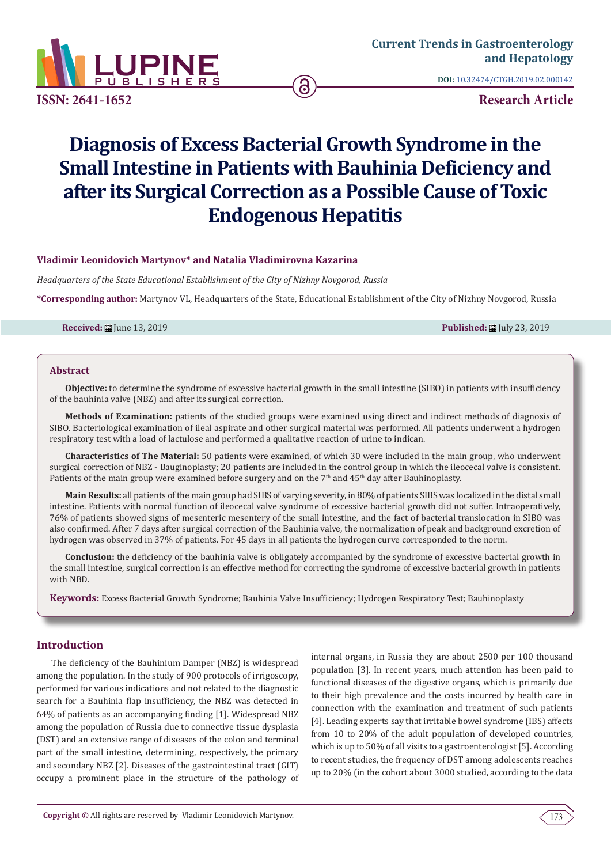

**DOI:** [10.32474/CTGH.2019.02.000142](http://dx.doi.org/10.32474/CTGH.2019.02.000142)

**Research Article**

# **Diagnosis of Excess Bacterial Growth Syndrome in the Small Intestine in Patients with Bauhinia Deficiency and after its Surgical Correction as a Possible Cause of Toxic Endogenous Hepatitis**

# **Vladimir Leonidovich Martynov\* and Natalia Vladimirovna Kazarina**

*Headquarters of the State Educational Establishment of the City of Nizhny Novgorod, Russia* 

**\*Corresponding author:** Martynov VL, Headquarters of the State, Educational Establishment of the City of Nizhny Novgorod, Russia

**Received:** June 13, 2019 **Published:** July 23, 2019

#### **Abstract**

**Objective:** to determine the syndrome of excessive bacterial growth in the small intestine (SIBO) in patients with insufficiency of the bauhinia valve (NBZ) and after its surgical correction.

**Methods of Examination:** patients of the studied groups were examined using direct and indirect methods of diagnosis of SIBO. Bacteriological examination of ileal aspirate and other surgical material was performed. All patients underwent a hydrogen respiratory test with a load of lactulose and performed a qualitative reaction of urine to indican.

**Characteristics of The Material:** 50 patients were examined, of which 30 were included in the main group, who underwent surgical correction of NBZ - Bauginoplasty; 20 patients are included in the control group in which the ileocecal valve is consistent. Patients of the main group were examined before surgery and on the 7<sup>th</sup> and 45<sup>th</sup> day after Bauhinoplasty.

**Main Results:** all patients of the main group had SIBS of varying severity, in 80% of patients SIBS was localized in the distal small intestine. Patients with normal function of ileocecal valve syndrome of excessive bacterial growth did not suffer. Intraoperatively, 76% of patients showed signs of mesenteric mesentery of the small intestine, and the fact of bacterial translocation in SIBO was also confirmed. After 7 days after surgical correction of the Bauhinia valve, the normalization of peak and background excretion of hydrogen was observed in 37% of patients. For 45 days in all patients the hydrogen curve corresponded to the norm.

**Conclusion:** the deficiency of the bauhinia valve is obligately accompanied by the syndrome of excessive bacterial growth in the small intestine, surgical correction is an effective method for correcting the syndrome of excessive bacterial growth in patients with NBD.

**Keywords:** Excess Bacterial Growth Syndrome; Bauhinia Valve Insufficiency; Hydrogen Respiratory Test; Bauhinoplasty

# **Introduction**

The deficiency of the Bauhinium Damper (NBZ) is widespread among the population. In the study of 900 protocols of irrigoscopy, performed for various indications and not related to the diagnostic search for a Bauhinia flap insufficiency, the NBZ was detected in 64% of patients as an accompanying finding [1]. Widespread NBZ among the population of Russia due to connective tissue dysplasia (DST) and an extensive range of diseases of the colon and terminal part of the small intestine, determining, respectively, the primary and secondary NBZ [2]. Diseases of the gastrointestinal tract (GIT) occupy a prominent place in the structure of the pathology of

internal organs, in Russia they are about 2500 per 100 thousand population [3]. In recent years, much attention has been paid to functional diseases of the digestive organs, which is primarily due to their high prevalence and the costs incurred by health care in connection with the examination and treatment of such patients [4]. Leading experts say that irritable bowel syndrome (IBS) affects from 10 to 20% of the adult population of developed countries, which is up to 50% of all visits to a gastroenterologist [5]. According to recent studies, the frequency of DST among adolescents reaches up to 20% (in the cohort about 3000 studied, according to the data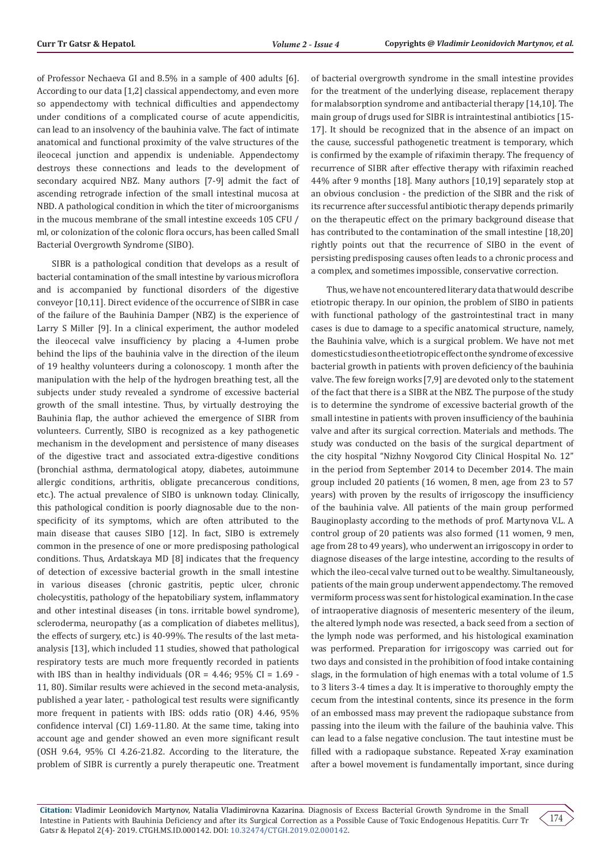of Professor Nechaeva GI and 8.5% in a sample of 400 adults [6]. According to our data [1,2] classical appendectomy, and even more so appendectomy with technical difficulties and appendectomy under conditions of a complicated course of acute appendicitis, can lead to an insolvency of the bauhinia valve. The fact of intimate anatomical and functional proximity of the valve structures of the ileocecal junction and appendix is undeniable. Appendectomy destroys these connections and leads to the development of secondary acquired NBZ. Many authors [7-9] admit the fact of ascending retrograde infection of the small intestinal mucosa at NBD. A pathological condition in which the titer of microorganisms in the mucous membrane of the small intestine exceeds 105 CFU / ml, or colonization of the colonic flora occurs, has been called Small Bacterial Overgrowth Syndrome (SIBO).

SIBR is a pathological condition that develops as a result of bacterial contamination of the small intestine by various microflora and is accompanied by functional disorders of the digestive conveyor [10,11]. Direct evidence of the occurrence of SIBR in case of the failure of the Bauhinia Damper (NBZ) is the experience of Larry S Miller [9]. In a clinical experiment, the author modeled the ileocecal valve insufficiency by placing a 4-lumen probe behind the lips of the bauhinia valve in the direction of the ileum of 19 healthy volunteers during a colonoscopy. 1 month after the manipulation with the help of the hydrogen breathing test, all the subjects under study revealed a syndrome of excessive bacterial growth of the small intestine. Thus, by virtually destroying the Bauhinia flap, the author achieved the emergence of SIBR from volunteers. Currently, SIBO is recognized as a key pathogenetic mechanism in the development and persistence of many diseases of the digestive tract and associated extra-digestive conditions (bronchial asthma, dermatological atopy, diabetes, autoimmune allergic conditions, arthritis, obligate precancerous conditions, etc.). The actual prevalence of SIBO is unknown today. Clinically, this pathological condition is poorly diagnosable due to the nonspecificity of its symptoms, which are often attributed to the main disease that causes SIBO [12]. In fact, SIBO is extremely common in the presence of one or more predisposing pathological conditions. Thus, Ardatskaya MD [8] indicates that the frequency of detection of excessive bacterial growth in the small intestine in various diseases (chronic gastritis, peptic ulcer, chronic cholecystitis, pathology of the hepatobiliary system, inflammatory and other intestinal diseases (in tons. irritable bowel syndrome), scleroderma, neuropathy (as a complication of diabetes mellitus), the effects of surgery, etc.) is 40-99%. The results of the last metaanalysis [13], which included 11 studies, showed that pathological respiratory tests are much more frequently recorded in patients with IBS than in healthy individuals (OR =  $4.46$ ; 95% CI =  $1.69$  -11, 80). Similar results were achieved in the second meta-analysis, published a year later, - pathological test results were significantly more frequent in patients with IBS: odds ratio (OR) 4.46, 95% confidence interval (CI) 1.69-11.80. At the same time, taking into account age and gender showed an even more significant result (OSH 9.64, 95% CI 4.26-21.82. According to the literature, the problem of SIBR is currently a purely therapeutic one. Treatment of bacterial overgrowth syndrome in the small intestine provides for the treatment of the underlying disease, replacement therapy for malabsorption syndrome and antibacterial therapy [14,10]. The main group of drugs used for SIBR is intraintestinal antibiotics [15- 17]. It should be recognized that in the absence of an impact on the cause, successful pathogenetic treatment is temporary, which is confirmed by the example of rifaximin therapy. The frequency of recurrence of SIBR after effective therapy with rifaximin reached 44% after 9 months [18]. Many authors [10,19] separately stop at an obvious conclusion - the prediction of the SIBR and the risk of its recurrence after successful antibiotic therapy depends primarily on the therapeutic effect on the primary background disease that has contributed to the contamination of the small intestine [18,20] rightly points out that the recurrence of SIBO in the event of persisting predisposing causes often leads to a chronic process and a complex, and sometimes impossible, conservative correction.

Thus, we have not encountered literary data that would describe etiotropic therapy. In our opinion, the problem of SIBO in patients with functional pathology of the gastrointestinal tract in many cases is due to damage to a specific anatomical structure, namely, the Bauhinia valve, which is a surgical problem. We have not met domestic studies on the etiotropic effect on the syndrome of excessive bacterial growth in patients with proven deficiency of the bauhinia valve. The few foreign works [7,9] are devoted only to the statement of the fact that there is a SIBR at the NBZ. The purpose of the study is to determine the syndrome of excessive bacterial growth of the small intestine in patients with proven insufficiency of the bauhinia valve and after its surgical correction. Materials and methods. The study was conducted on the basis of the surgical department of the city hospital "Nizhny Novgorod City Clinical Hospital No. 12" in the period from September 2014 to December 2014. The main group included 20 patients (16 women, 8 men, age from 23 to 57 years) with proven by the results of irrigoscopy the insufficiency of the bauhinia valve. All patients of the main group performed Bauginoplasty according to the methods of prof. Martynova V.L. A control group of 20 patients was also formed (11 women, 9 men, age from 28 to 49 years), who underwent an irrigoscopy in order to diagnose diseases of the large intestine, according to the results of which the ileo-cecal valve turned out to be wealthy. Simultaneously, patients of the main group underwent appendectomy. The removed vermiform process was sent for histological examination. In the case of intraoperative diagnosis of mesenteric mesentery of the ileum, the altered lymph node was resected, a back seed from a section of the lymph node was performed, and his histological examination was performed. Preparation for irrigoscopy was carried out for two days and consisted in the prohibition of food intake containing slags, in the formulation of high enemas with a total volume of 1.5 to 3 liters 3-4 times a day. It is imperative to thoroughly empty the cecum from the intestinal contents, since its presence in the form of an embossed mass may prevent the radiopaque substance from passing into the ileum with the failure of the bauhinia valve. This can lead to a false negative conclusion. The taut intestine must be filled with a radiopaque substance. Repeated X-ray examination after a bowel movement is fundamentally important, since during

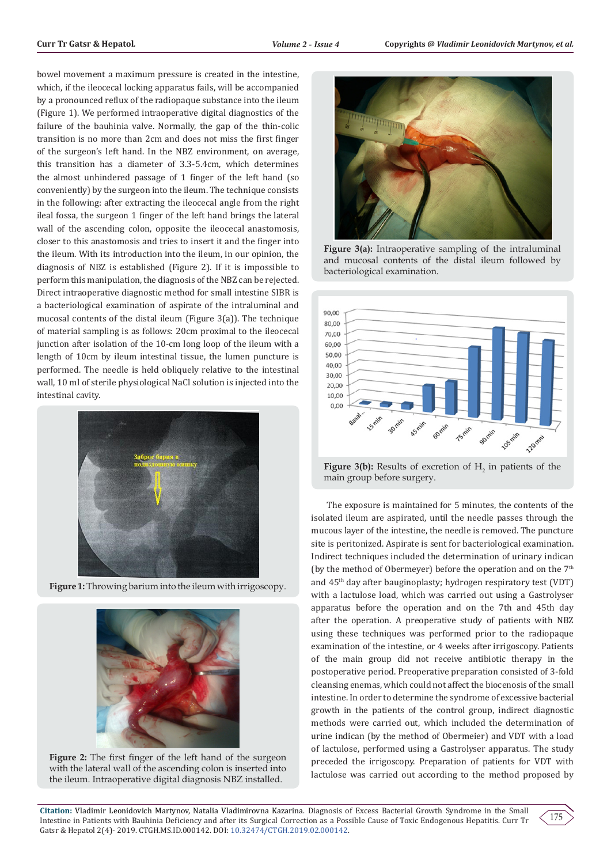bowel movement a maximum pressure is created in the intestine, which, if the ileocecal locking apparatus fails, will be accompanied by a pronounced reflux of the radiopaque substance into the ileum (Figure 1). We performed intraoperative digital diagnostics of the failure of the bauhinia valve. Normally, the gap of the thin-colic transition is no more than 2cm and does not miss the first finger of the surgeon's left hand. In the NBZ environment, on average, this transition has a diameter of 3.3-5.4cm, which determines the almost unhindered passage of 1 finger of the left hand (so conveniently) by the surgeon into the ileum. The technique consists in the following: after extracting the ileocecal angle from the right ileal fossa, the surgeon 1 finger of the left hand brings the lateral wall of the ascending colon, opposite the ileocecal anastomosis, closer to this anastomosis and tries to insert it and the finger into the ileum. With its introduction into the ileum, in our opinion, the diagnosis of NBZ is established (Figure 2). If it is impossible to perform this manipulation, the diagnosis of the NBZ can be rejected. Direct intraoperative diagnostic method for small intestine SIBR is a bacteriological examination of aspirate of the intraluminal and mucosal contents of the distal ileum (Figure 3(a)). The technique of material sampling is as follows: 20cm proximal to the ileocecal junction after isolation of the 10-cm long loop of the ileum with a length of 10cm by ileum intestinal tissue, the lumen puncture is performed. The needle is held obliquely relative to the intestinal wall, 10 ml of sterile physiological NaCl solution is injected into the intestinal cavity.



**Figure 1:** Throwing barium into the ileum with irrigoscopy.



**Figure 2:** The first finger of the left hand of the surgeon with the lateral wall of the ascending colon is inserted into the ileum. Intraoperative digital diagnosis NBZ installed.



**Figure 3(a):** Intraoperative sampling of the intraluminal and mucosal contents of the distal ileum followed by bacteriological examination.



**Figure 3(b):** Results of excretion of  $H_2$  in patients of the main group before surgery.

The exposure is maintained for 5 minutes, the contents of the isolated ileum are aspirated, until the needle passes through the mucous layer of the intestine, the needle is removed. The puncture site is peritonized. Aspirate is sent for bacteriological examination. Indirect techniques included the determination of urinary indican (by the method of Obermeyer) before the operation and on the  $7<sup>th</sup>$ and 45th day after bauginoplasty; hydrogen respiratory test (VDT) with a lactulose load, which was carried out using a Gastrolyser apparatus before the operation and on the 7th and 45th day after the operation. A preoperative study of patients with NBZ using these techniques was performed prior to the radiopaque examination of the intestine, or 4 weeks after irrigoscopy. Patients of the main group did not receive antibiotic therapy in the postoperative period. Preoperative preparation consisted of 3-fold cleansing enemas, which could not affect the biocenosis of the small intestine. In order to determine the syndrome of excessive bacterial growth in the patients of the control group, indirect diagnostic methods were carried out, which included the determination of urine indican (by the method of Obermeier) and VDT with a load of lactulose, performed using a Gastrolyser apparatus. The study preceded the irrigoscopy. Preparation of patients for VDT with lactulose was carried out according to the method proposed by

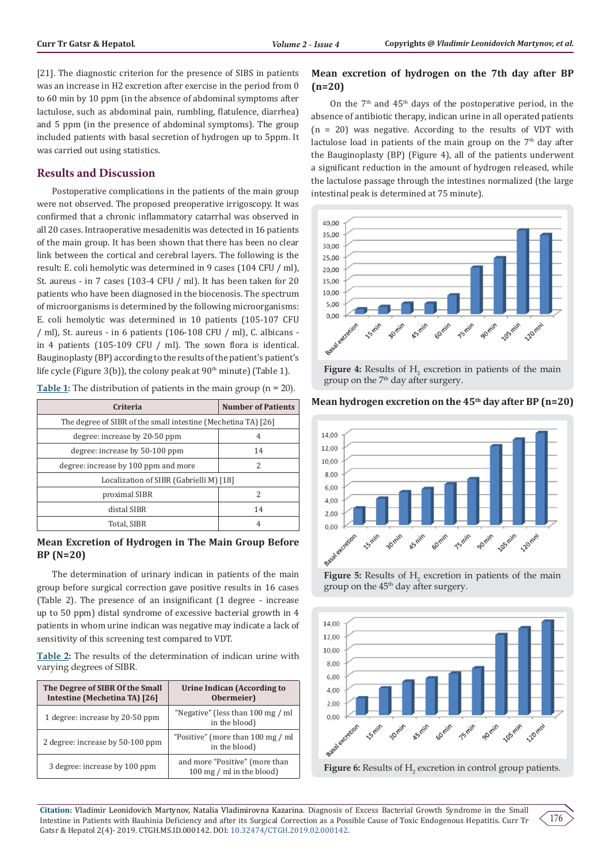[21]. The diagnostic criterion for the presence of SIBS in patients was an increase in H2 excretion after exercise in the period from 0 to 60 min by 10 ppm (in the absence of abdominal symptoms after lactulose, such as abdominal pain, rumbling, flatulence, diarrhea) and 5 ppm (in the presence of abdominal symptoms). The group included patients with basal secretion of hydrogen up to 5ppm. It was carried out using statistics.

# **Results and Discussion**

Postoperative complications in the patients of the main group were not observed. The proposed preoperative irrigoscopy. It was confirmed that a chronic inflammatory catarrhal was observed in all 20 cases. Intraoperative mesadenitis was detected in 16 patients of the main group. It has been shown that there has been no clear link between the cortical and cerebral layers. The following is the result: E. coli hemolytic was determined in 9 cases (104 CFU / ml), St. aureus - in 7 cases (103-4 CFU / ml). It has been taken for 20 patients who have been diagnosed in the biocenosis. The spectrum of microorganisms is determined by the following microorganisms: E. coli hemolytic was determined in 10 patients (105-107 CFU / ml), St. aureus - in 6 patients (106-108 CFU / ml), C. albicans in 4 patients (105-109 CFU / ml). The sown flora is identical. Bauginoplasty (BP) according to the results of the patient's patient's life cycle (Figure 3(b)), the colony peak at  $90<sup>th</sup>$  minute) (Table 1).

| Criteria                                                      | <b>Number of Patients</b> |  |  |  |
|---------------------------------------------------------------|---------------------------|--|--|--|
| The degree of SIBR of the small intestine (Mechetina TA) [26] |                           |  |  |  |
| degree: increase by 20-50 ppm                                 | 4                         |  |  |  |
| degree: increase by 50-100 ppm                                | 14                        |  |  |  |
| degree: increase by 100 ppm and more                          | 2                         |  |  |  |
| Localization of SIBR (Gabrielli M) [18]                       |                           |  |  |  |
| proximal SIBR                                                 | 2                         |  |  |  |
| distal SIBR                                                   | 14                        |  |  |  |
| Total, SIBR                                                   | 4                         |  |  |  |

**Table 1:** The distribution of patients in the main group (n = 20).

# **Mean Excretion of Hydrogen in The Main Group Before BP (N=20)**

The determination of urinary indican in patients of the main group before surgical correction gave positive results in 16 cases (Table 2). The presence of an insignificant (1 degree - increase up to 50 ppm) distal syndrome of excessive bacterial growth in 4 patients in whom urine indican was negative may indicate a lack of sensitivity of this screening test compared to VDT.

**Table 2:** The results of the determination of indican urine with varying degrees of SIBR.

| The Degree of SIBR Of the Small<br>Intestine (Mechetina TA) [26] | Urine Indican (According to<br>Obermeier)                   |
|------------------------------------------------------------------|-------------------------------------------------------------|
| 1 degree: increase by 20-50 ppm                                  | "Negative" (less than 100 mg / ml<br>in the blood)          |
| 2 degree: increase by 50-100 ppm                                 | "Positive" (more than 100 mg / ml<br>in the blood)          |
| 3 degree: increase by 100 ppm                                    | and more "Positive" (more than<br>100 mg / ml in the blood) |

# **Mean excretion of hydrogen on the 7th day after BP (n=20)**

On the  $7<sup>th</sup>$  and  $45<sup>th</sup>$  days of the postoperative period, in the absence of antibiotic therapy, indican urine in all operated patients (n = 20) was negative. According to the results of VDT with lactulose load in patients of the main group on the  $7<sup>th</sup>$  day after the Bauginoplasty (BP) (Figure 4), all of the patients underwent a significant reduction in the amount of hydrogen released, while the lactulose passage through the intestines normalized (the large intestinal peak is determined at 75 minute).



**Figure 4:** Results of  $H_2$  excretion in patients of the main group on the 7<sup>th</sup> day after surgery.

# **Mean hydrogen excretion on the 45th day after BP (n=20)**



**Figure 5:** Results of  $H_2$  excretion in patients of the main group on the 45<sup>th</sup> day after surgery.



**Figure 6:** Results of  $H_2$  excretion in control group patients.

**Citation:** Vladimir Leonidovich Martynov, Natalia Vladimirovna Kazarina. Diagnosis of Excess Bacterial Growth Syndrome in the Small Intestine in Patients with Bauhinia Deficiency and after its Surgical Correction as a Possible Cause of Toxic Endogenous Hepatitis. Curr Tr Gatsr & Hepatol 2(4)- 2019. CTGH.MS.ID.000142. DOI: [10.32474/CTGH.2019.02.000142](http://dx.doi.org/10.32474/CTGH.2019.02.000142).

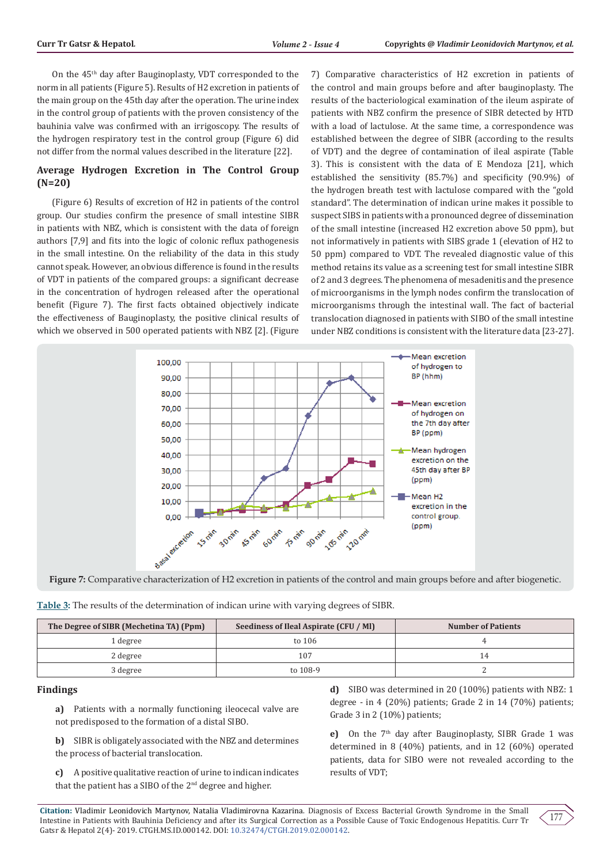On the 45th day after Bauginoplasty, VDT corresponded to the norm in all patients (Figure 5). Results of H2 excretion in patients of the main group on the 45th day after the operation. The urine index in the control group of patients with the proven consistency of the bauhinia valve was confirmed with an irrigoscopy. The results of the hydrogen respiratory test in the control group (Figure 6) did not differ from the normal values described in the literature [22].

# **Average Hydrogen Excretion in The Control Group (N=20)**

(Figure 6) Results of excretion of H2 in patients of the control group. Our studies confirm the presence of small intestine SIBR in patients with NBZ, which is consistent with the data of foreign authors [7,9] and fits into the logic of colonic reflux pathogenesis in the small intestine. On the reliability of the data in this study cannot speak. However, an obvious difference is found in the results of VDT in patients of the compared groups: a significant decrease in the concentration of hydrogen released after the operational benefit (Figure 7). The first facts obtained objectively indicate the effectiveness of Bauginoplasty, the positive clinical results of which we observed in 500 operated patients with NBZ [2]. (Figure

7) Comparative characteristics of H2 excretion in patients of the control and main groups before and after bauginoplasty. The results of the bacteriological examination of the ileum aspirate of patients with NBZ confirm the presence of SIBR detected by HTD with a load of lactulose. At the same time, a correspondence was established between the degree of SIBR (according to the results of VDT) and the degree of contamination of ileal aspirate (Table 3). This is consistent with the data of E Mendoza [21], which established the sensitivity (85.7%) and specificity (90.9%) of the hydrogen breath test with lactulose compared with the "gold standard". The determination of indican urine makes it possible to suspect SIBS in patients with a pronounced degree of dissemination of the small intestine (increased H2 excretion above 50 ppm), but not informatively in patients with SIBS grade 1 (elevation of H2 to 50 ppm) compared to VDT. The revealed diagnostic value of this method retains its value as a screening test for small intestine SIBR of 2 and 3 degrees. The phenomena of mesadenitis and the presence of microorganisms in the lymph nodes confirm the translocation of microorganisms through the intestinal wall. The fact of bacterial translocation diagnosed in patients with SIBO of the small intestine under NBZ conditions is consistent with the literature data [23-27].



**Figure 7:** Comparative characterization of H2 excretion in patients of the control and main groups before and after biogenetic.

| Table 3: The results of the determination of indican urine with varying degrees of SIBR. |  |  |  |  |
|------------------------------------------------------------------------------------------|--|--|--|--|
|                                                                                          |  |  |  |  |

| The Degree of SIBR (Mechetina TA) (Ppm) | Seediness of Ileal Aspirate (CFU / MI) | <b>Number of Patients</b> |
|-----------------------------------------|----------------------------------------|---------------------------|
| 1 degree                                | to 106                                 |                           |
| 2 degree                                | 107                                    | 14                        |
| 3 degree                                | to 108-9                               |                           |

#### **Findings**

**a)** Patients with a normally functioning ileocecal valve are not predisposed to the formation of a distal SIBO.

**b)** SIBR is obligately associated with the NBZ and determines the process of bacterial translocation.

**c)** A positive qualitative reaction of urine to indican indicates that the patient has a SIBO of the 2<sup>nd</sup> degree and higher.

**d)** SIBO was determined in 20 (100%) patients with NBZ: 1 degree - in 4 (20%) patients; Grade 2 in 14 (70%) patients; Grade 3 in 2 (10%) patients;

**e)** On the 7<sup>th</sup> day after Bauginoplasty, SIBR Grade 1 was determined in 8 (40%) patients, and in 12 (60%) operated patients, data for SIBO were not revealed according to the results of VDT;